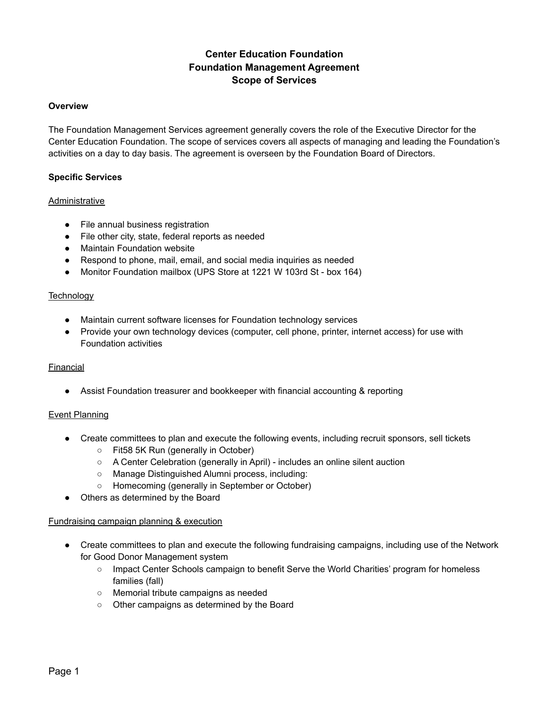# **Center Education Foundation Foundation Management Agreement Scope of Services**

# **Overview**

The Foundation Management Services agreement generally covers the role of the Executive Director for the Center Education Foundation. The scope of services covers all aspects of managing and leading the Foundation's activities on a day to day basis. The agreement is overseen by the Foundation Board of Directors.

# **Specific Services**

## Administrative

- File annual business registration
- File other city, state, federal reports as needed
- Maintain Foundation website
- Respond to phone, mail, email, and social media inquiries as needed
- Monitor Foundation mailbox (UPS Store at 1221 W 103rd St box 164)

## **Technology**

- Maintain current software licenses for Foundation technology services
- Provide your own technology devices (computer, cell phone, printer, internet access) for use with Foundation activities

# Financial

● Assist Foundation treasurer and bookkeeper with financial accounting & reporting

# Event Planning

- Create committees to plan and execute the following events, including recruit sponsors, sell tickets
	- Fit58 5K Run (generally in October)
	- A Center Celebration (generally in April) includes an online silent auction
	- Manage Distinguished Alumni process, including:
	- Homecoming (generally in September or October)
- Others as determined by the Board

#### Fundraising campaign planning & execution

- Create committees to plan and execute the following fundraising campaigns, including use of the Network for Good Donor Management system
	- Impact Center Schools campaign to benefit Serve the World Charities' program for homeless families (fall)
	- Memorial tribute campaigns as needed
	- Other campaigns as determined by the Board